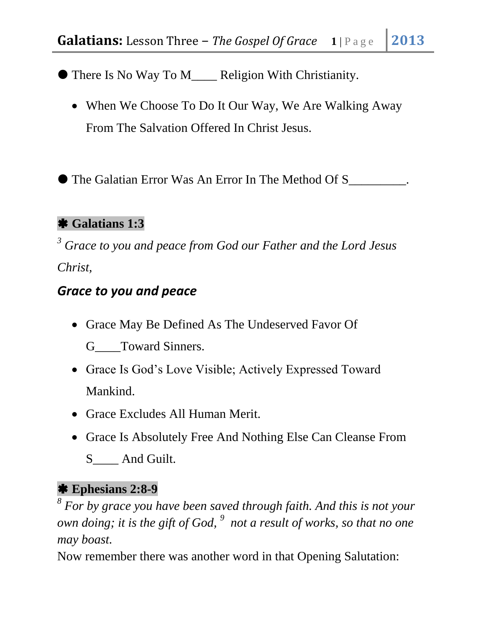There Is No Way To M\_\_\_\_ Religion With Christianity.

• When We Choose To Do It Our Way, We Are Walking Away From The Salvation Offered In Christ Jesus.

The Galatian Error Was An Error In The Method Of S\_\_\_\_\_\_\_\_\_.

### **Galatians 1:3**

*<sup>3</sup> Grace to you and peace from God our Father and the Lord Jesus Christ,*

### *Grace to you and peace*

- Grace May Be Defined As The Undeserved Favor Of G Toward Sinners.
- Grace Is God's Love Visible; Actively Expressed Toward Mankind.
- Grace Excludes All Human Merit.
- Grace Is Absolutely Free And Nothing Else Can Cleanse From
	- S And Guilt.

### **Ephesians 2:8-9**

*8 For by grace you have been saved through faith. And this is not your own doing; it is the gift of God, <sup>9</sup> not a result of works, so that no one may boast.*

Now remember there was another word in that Opening Salutation: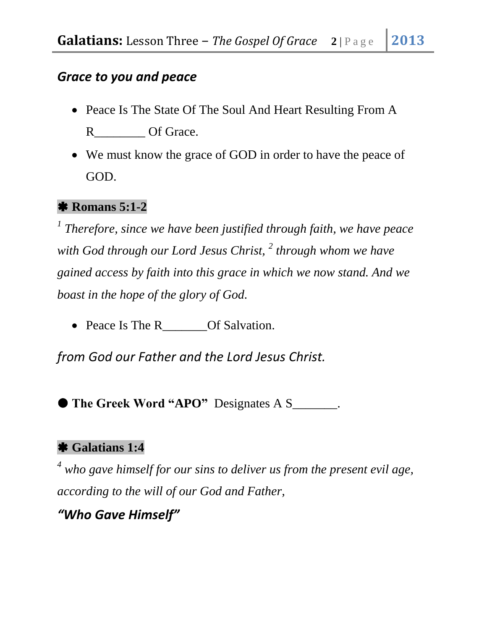### *Grace to you and peace*

- Peace Is The State Of The Soul And Heart Resulting From A R Of Grace.
- We must know the grace of GOD in order to have the peace of GOD.

#### **Romans 5:1-2**

*1 Therefore, since we have been justified through faith, we have peace with God through our Lord Jesus Christ, <sup>2</sup> through whom we have gained access by faith into this grace in which we now stand. And we boast in the hope of the glory of God.* 

• Peace Is The R Of Salvation.

*from God our Father and the Lord Jesus Christ.* 

**The Greek Word "APO"** Designates A S\_\_\_\_\_\_\_.

### **Galatians 1:4**

*<sup>4</sup> who gave himself for our sins to deliver us from the present evil age, according to the will of our God and Father,* 

*"Who Gave Himself"*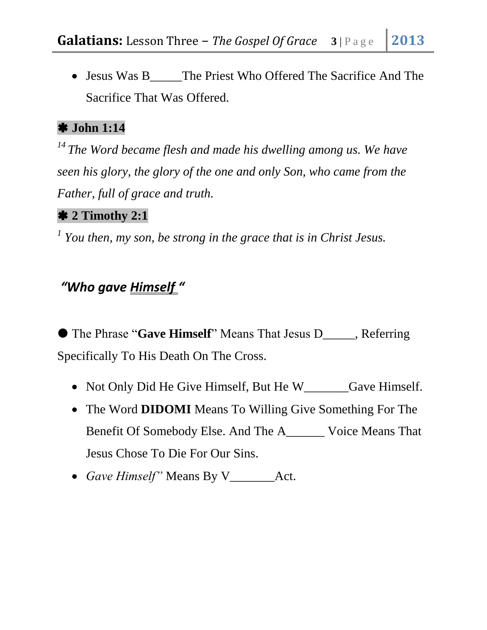• Jesus Was B The Priest Who Offered The Sacrifice And The Sacrifice That Was Offered.

#### **John 1:14**

*<sup>14</sup>The Word became flesh and made his dwelling among us. We have seen his glory, the glory of the one and only Son, who came from the Father, full of grace and truth.*

### **2 Timothy 2:1**

*1 You then, my son, be strong in the grace that is in Christ Jesus.*

# *"Who gave Himself "*

 The Phrase "**Gave Himself**" Means That Jesus D\_\_\_\_\_, Referring Specifically To His Death On The Cross.

- Not Only Did He Give Himself, But He W Gave Himself.
- The Word **[DIDOMI](http://www.studylight.org/dic/ved/view.cgi?n=1194)** Means To Willing Give Something For The Benefit Of Somebody Else. And The [A\\_\\_\\_\\_\\_\\_ Voice](http://www.preceptaustin.org/new_page_40.htm#active) Means That Jesus Chose To Die For Our Sins.
- Gave Himself" Means By V Act.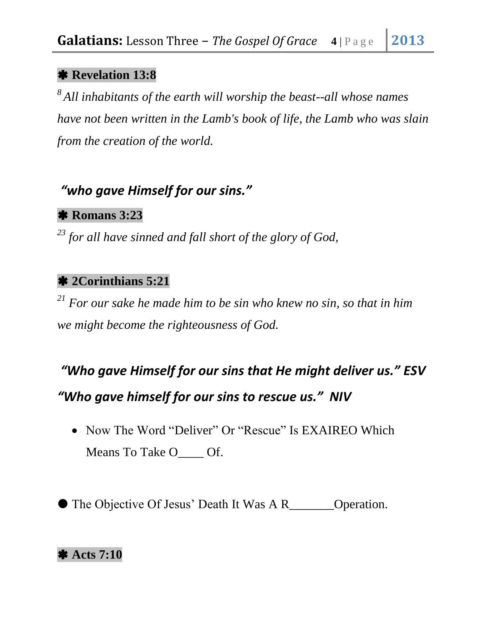#### **Revelation 13:8**

*<sup>8</sup>All inhabitants of the earth will worship the beast--all whose names have not been written in the Lamb's book of life, the Lamb who was slain from the creation of the world.*

# *"who gave Himself for our sins."*

### **Romans 3:23**

*<sup>23</sup> for all have sinned and fall short of the glory of God,*

### **2Corinthians 5:21**

*<sup>21</sup> For our sake he made him to be sin who knew no sin, so that in him we might become the righteousness of God.* 

# *"Who gave Himself for our sins that He might deliver us." ESV*

### *"Who gave himself for our sins to rescue us." NIV*

• Now The Word "Deliver" Or "Rescue" Is EXAIREO Which Means To Take O<sub>\_\_\_\_</sub> Of.

● The Objective Of Jesus' Death It Was A R\_\_\_\_\_\_\_\_Operation.

### **Acts 7:10**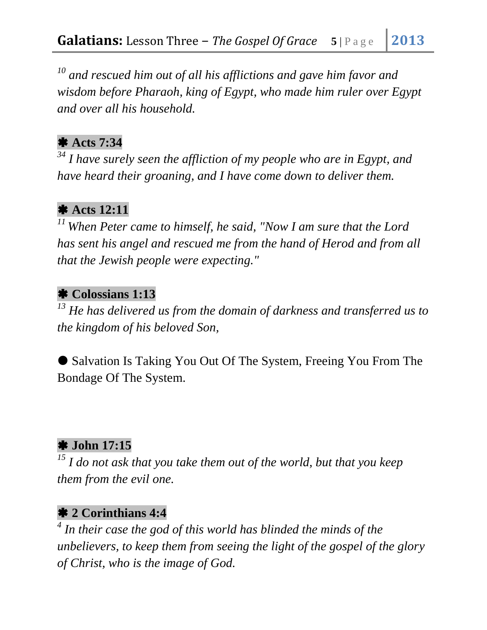*<sup>10</sup> and rescued him out of all his afflictions and gave him favor and wisdom before Pharaoh, king of Egypt, who made him ruler over Egypt and over all his household.*

#### **Acts 7:34**

*<sup>34</sup> I have surely seen the affliction of my people who are in Egypt, and have heard their groaning, and I have come down to deliver them.* 

### **Acts 12:11**

*<sup>11</sup>When Peter came to himself, he said, "Now I am sure that the Lord has sent his angel and rescued me from the hand of Herod and from all that the Jewish people were expecting."*

### **Colossians 1:13**

*<sup>13</sup> He has delivered us from the domain of darkness and transferred us to the kingdom of his beloved Son,*

 Salvation Is Taking You Out Of The System, Freeing You From The Bondage Of The System.

### **John 17:15**

*<sup>15</sup> I do not ask that you take them out of the world, but that you keep them from the evil one.*

### **2 Corinthians 4:4**

*4 In their case the god of this world has blinded the minds of the unbelievers, to keep them from seeing the light of the gospel of the glory of Christ, who is the image of God.*